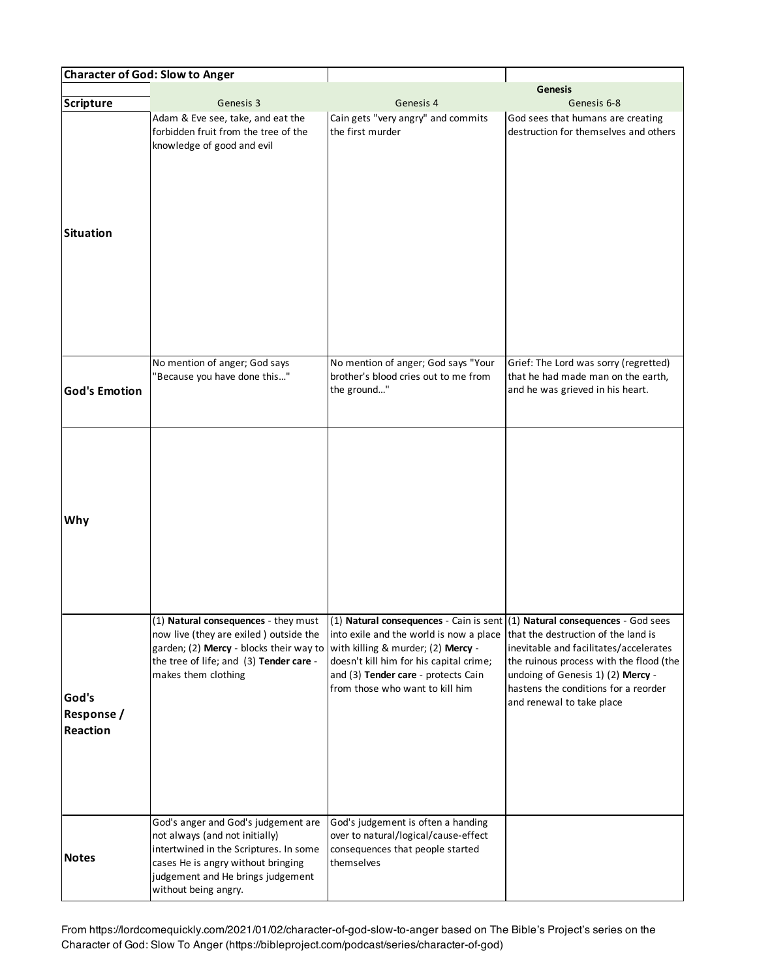|                                               | <b>Character of God: Slow to Anger</b>                                                                                                                                                                             |                                                                                                                                                                                                                                                                                                                          |                                                                                                                                                                                                                                    |
|-----------------------------------------------|--------------------------------------------------------------------------------------------------------------------------------------------------------------------------------------------------------------------|--------------------------------------------------------------------------------------------------------------------------------------------------------------------------------------------------------------------------------------------------------------------------------------------------------------------------|------------------------------------------------------------------------------------------------------------------------------------------------------------------------------------------------------------------------------------|
| Scripture                                     | Genesis 3                                                                                                                                                                                                          | Genesis 4                                                                                                                                                                                                                                                                                                                | <b>Genesis</b><br>Genesis 6-8                                                                                                                                                                                                      |
| Situation                                     | Adam & Eve see, take, and eat the<br>forbidden fruit from the tree of the<br>knowledge of good and evil                                                                                                            | Cain gets "very angry" and commits<br>the first murder                                                                                                                                                                                                                                                                   | God sees that humans are creating<br>destruction for themselves and others                                                                                                                                                         |
| <b>God's Emotion</b>                          | No mention of anger; God says<br>"Because you have done this"                                                                                                                                                      | No mention of anger; God says "Your<br>brother's blood cries out to me from<br>the ground"                                                                                                                                                                                                                               | Grief: The Lord was sorry (regretted)<br>that he had made man on the earth,<br>and he was grieved in his heart.                                                                                                                    |
| Why                                           |                                                                                                                                                                                                                    |                                                                                                                                                                                                                                                                                                                          |                                                                                                                                                                                                                                    |
| God's<br><b>Response</b> /<br><b>Reaction</b> | now live (they are exiled) outside the<br>garden; (2) Mercy - blocks their way to<br>the tree of life; and (3) Tender care -<br>makes them clothing                                                                | (1) Natural consequences - they must $(1)$ Natural consequences - Cain is sent (1) Natural consequences - God sees<br>into exile and the world is now a place<br>with killing & murder; (2) Mercy -<br>doesn't kill him for his capital crime;<br>and (3) Tender care - protects Cain<br>from those who want to kill him | that the destruction of the land is<br>inevitable and facilitates/accelerates<br>the ruinous process with the flood (the<br>undoing of Genesis 1) (2) Mercy -<br>hastens the conditions for a reorder<br>and renewal to take place |
| <b>Notes</b>                                  | God's anger and God's judgement are<br>not always (and not initially)<br>intertwined in the Scriptures. In some<br>cases He is angry without bringing<br>judgement and He brings judgement<br>without being angry. | God's judgement is often a handing<br>over to natural/logical/cause-effect<br>consequences that people started<br>themselves                                                                                                                                                                                             |                                                                                                                                                                                                                                    |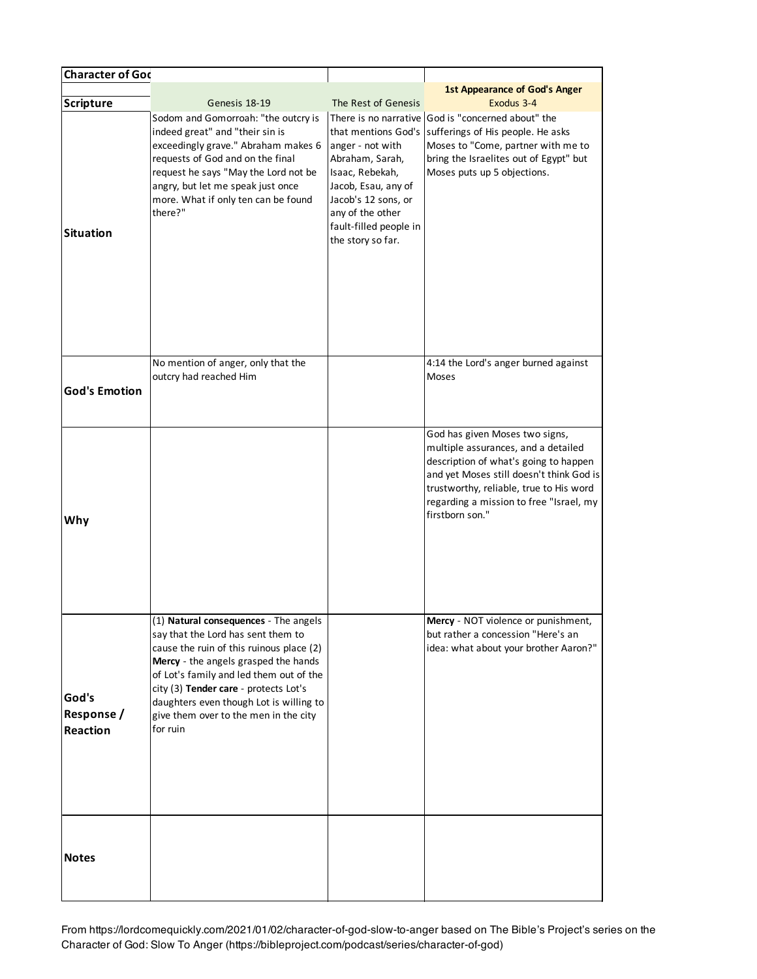| <b>Character of God</b>                |                                                                                                                                                                                                                                                                                                                                                     |                                                                                                                                                                                                |                                                                                                                                                                                                                                                                     |
|----------------------------------------|-----------------------------------------------------------------------------------------------------------------------------------------------------------------------------------------------------------------------------------------------------------------------------------------------------------------------------------------------------|------------------------------------------------------------------------------------------------------------------------------------------------------------------------------------------------|---------------------------------------------------------------------------------------------------------------------------------------------------------------------------------------------------------------------------------------------------------------------|
| <b>Scripture</b>                       | Genesis 18-19                                                                                                                                                                                                                                                                                                                                       | The Rest of Genesis                                                                                                                                                                            | <b>1st Appearance of God's Anger</b><br>Exodus 3-4                                                                                                                                                                                                                  |
| <b>Situation</b>                       | Sodom and Gomorroah: "the outcry is<br>indeed great" and "their sin is<br>exceedingly grave." Abraham makes 6<br>requests of God and on the final<br>request he says "May the Lord not be<br>angry, but let me speak just once<br>more. What if only ten can be found<br>there?"                                                                    | that mentions God's<br>anger - not with<br>Abraham, Sarah,<br>Isaac, Rebekah,<br>Jacob, Esau, any of<br>Jacob's 12 sons, or<br>any of the other<br>fault-filled people in<br>the story so far. | There is no narrative God is "concerned about" the<br>sufferings of His people. He asks<br>Moses to "Come, partner with me to<br>bring the Israelites out of Egypt" but<br>Moses puts up 5 objections.                                                              |
| <b>God's Emotion</b>                   | No mention of anger, only that the<br>outcry had reached Him                                                                                                                                                                                                                                                                                        |                                                                                                                                                                                                | 4:14 the Lord's anger burned against<br>Moses                                                                                                                                                                                                                       |
| Why                                    |                                                                                                                                                                                                                                                                                                                                                     |                                                                                                                                                                                                | God has given Moses two signs,<br>multiple assurances, and a detailed<br>description of what's going to happen<br>and yet Moses still doesn't think God is<br>trustworthy, reliable, true to His word<br>regarding a mission to free "Israel, my<br>firstborn son." |
| God's<br>Response /<br><b>Reaction</b> | (1) Natural consequences - The angels<br>say that the Lord has sent them to<br>cause the ruin of this ruinous place (2)<br>Mercy - the angels grasped the hands<br>of Lot's family and led them out of the<br>city (3) Tender care - protects Lot's<br>daughters even though Lot is willing to<br>give them over to the men in the city<br>for ruin |                                                                                                                                                                                                | <b>Mercy</b> - NOT violence or punishment,<br>but rather a concession "Here's an<br>idea: what about your brother Aaron?"                                                                                                                                           |
| <b>Notes</b>                           |                                                                                                                                                                                                                                                                                                                                                     |                                                                                                                                                                                                |                                                                                                                                                                                                                                                                     |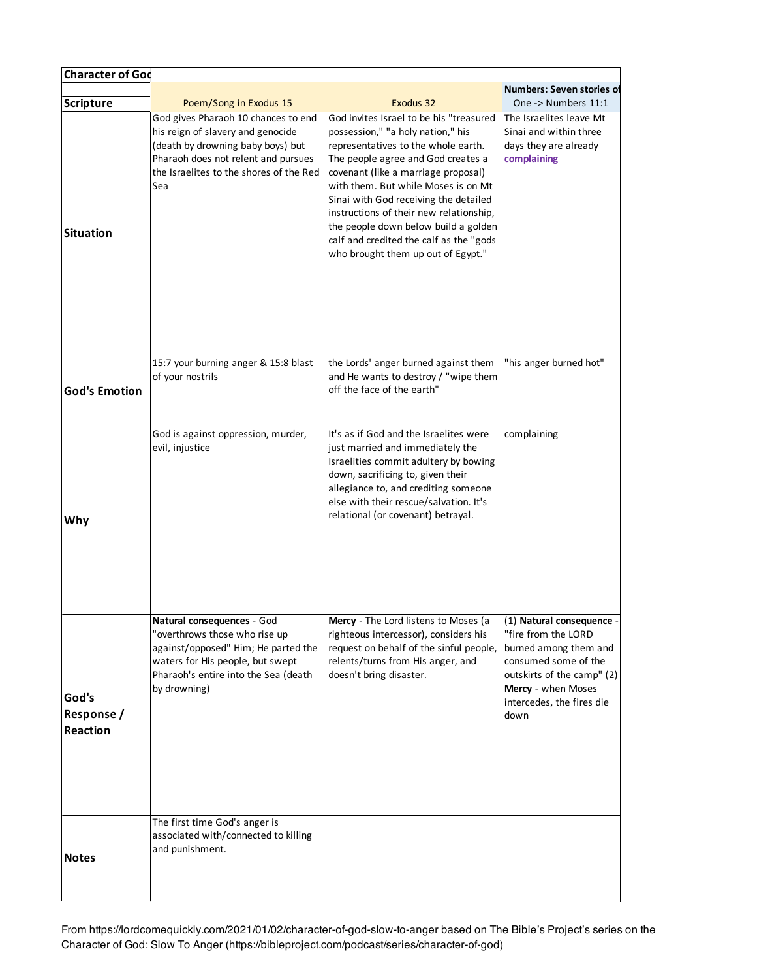| <b>Character of Goc</b>                       |                                                                                                                                                                                                        |                                                                                                                                                                                                                                                                                                                                                                                                                                                      |                                                                                                                                                                                            |
|-----------------------------------------------|--------------------------------------------------------------------------------------------------------------------------------------------------------------------------------------------------------|------------------------------------------------------------------------------------------------------------------------------------------------------------------------------------------------------------------------------------------------------------------------------------------------------------------------------------------------------------------------------------------------------------------------------------------------------|--------------------------------------------------------------------------------------------------------------------------------------------------------------------------------------------|
| Scripture                                     | Poem/Song in Exodus 15                                                                                                                                                                                 | Exodus 32                                                                                                                                                                                                                                                                                                                                                                                                                                            | Numbers: Seven stories of<br>One -> Numbers 11:1                                                                                                                                           |
| Situation                                     | God gives Pharaoh 10 chances to end<br>his reign of slavery and genocide<br>(death by drowning baby boys) but<br>Pharaoh does not relent and pursues<br>the Israelites to the shores of the Red<br>Sea | God invites Israel to be his "treasured<br>possession," "a holy nation," his<br>representatives to the whole earth.<br>The people agree and God creates a<br>covenant (like a marriage proposal)<br>with them. But while Moses is on Mt<br>Sinai with God receiving the detailed<br>instructions of their new relationship,<br>the people down below build a golden<br>calf and credited the calf as the "gods<br>who brought them up out of Egypt." | The Israelites leave Mt<br>Sinai and within three<br>days they are already<br>complaining                                                                                                  |
| <b>God's Emotion</b>                          | 15:7 your burning anger & 15:8 blast<br>of your nostrils                                                                                                                                               | the Lords' anger burned against them<br>and He wants to destroy / "wipe them<br>off the face of the earth"                                                                                                                                                                                                                                                                                                                                           | "his anger burned hot"                                                                                                                                                                     |
| Why                                           | God is against oppression, murder,<br>evil, injustice                                                                                                                                                  | It's as if God and the Israelites were<br>just married and immediately the<br>Israelities commit adultery by bowing<br>down, sacrificing to, given their<br>allegiance to, and crediting someone<br>else with their rescue/salvation. It's<br>relational (or covenant) betrayal.                                                                                                                                                                     | complaining                                                                                                                                                                                |
| God's<br><b>Response /</b><br><b>Reaction</b> | Natural consequences - God<br>"overthrows those who rise up<br>against/opposed" Him; He parted the<br>waters for His people, but swept<br>Pharaoh's entire into the Sea (death<br>by drowning)         | <b>Mercy</b> - The Lord listens to Moses (a<br>righteous intercessor), considers his<br>request on behalf of the sinful people,<br>relents/turns from His anger, and<br>doesn't bring disaster.                                                                                                                                                                                                                                                      | (1) Natural consequence -<br>"fire from the LORD<br>burned among them and<br>consumed some of the<br>outskirts of the camp" (2)<br>Mercy - when Moses<br>intercedes, the fires die<br>down |
| <b>Notes</b>                                  | The first time God's anger is<br>associated with/connected to killing<br>and punishment.                                                                                                               |                                                                                                                                                                                                                                                                                                                                                                                                                                                      |                                                                                                                                                                                            |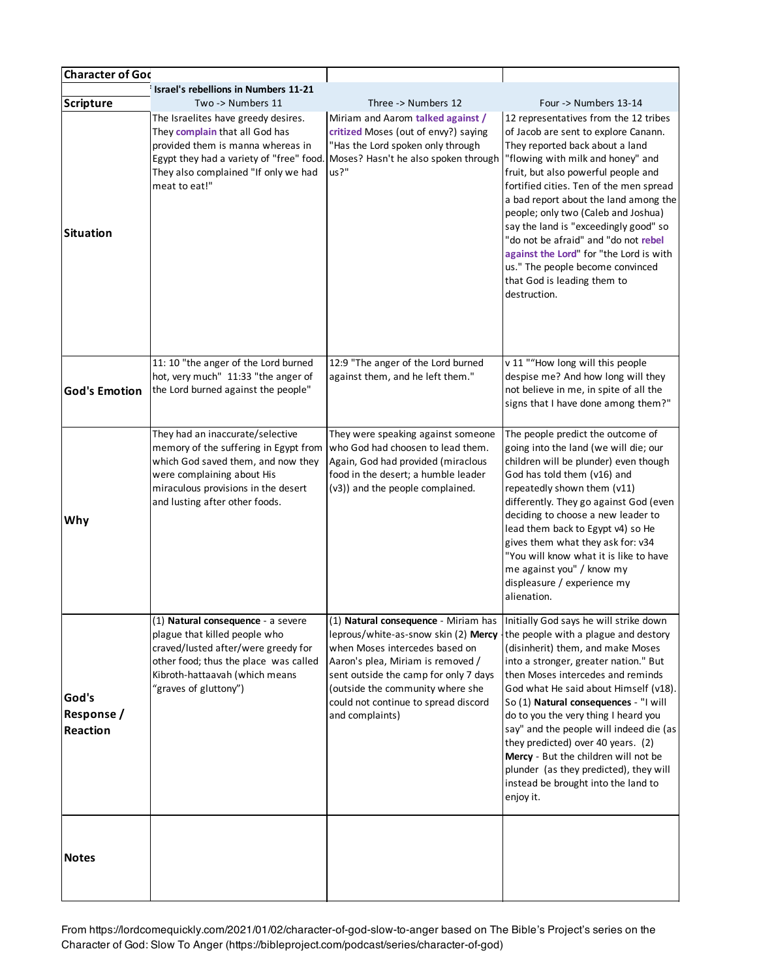| <b>Character of Goc</b>                |                                                                                                                                                                                                                        |                                                                                                                                                                                                                                                                                                                                                                                         |                                                                                                                                                                                                                                                                                                                                                                                                                                                                                                                                        |
|----------------------------------------|------------------------------------------------------------------------------------------------------------------------------------------------------------------------------------------------------------------------|-----------------------------------------------------------------------------------------------------------------------------------------------------------------------------------------------------------------------------------------------------------------------------------------------------------------------------------------------------------------------------------------|----------------------------------------------------------------------------------------------------------------------------------------------------------------------------------------------------------------------------------------------------------------------------------------------------------------------------------------------------------------------------------------------------------------------------------------------------------------------------------------------------------------------------------------|
| <b>Scripture</b>                       | Israel's rebellions in Numbers 11-21<br>Two -> Numbers 11                                                                                                                                                              | Three -> Numbers 12                                                                                                                                                                                                                                                                                                                                                                     | Four -> Numbers 13-14                                                                                                                                                                                                                                                                                                                                                                                                                                                                                                                  |
| <b>Situation</b>                       | The Israelites have greedy desires.<br>They complain that all God has<br>provided them is manna whereas in<br>Egypt they had a variety of "free" food.<br>They also complained "If only we had<br>meat to eat!"        | Miriam and Aarom talked against /<br>critized Moses (out of envy?) saying<br>"Has the Lord spoken only through<br>Moses? Hasn't he also spoken through<br>us?"                                                                                                                                                                                                                          | 12 representatives from the 12 tribes<br>of Jacob are sent to explore Canann.<br>They reported back about a land<br>"flowing with milk and honey" and<br>fruit, but also powerful people and<br>fortified cities. Ten of the men spread<br>a bad report about the land among the<br>people; only two (Caleb and Joshua)<br>say the land is "exceedingly good" so<br>"do not be afraid" and "do not rebel<br>against the Lord" for "the Lord is with<br>us." The people become convinced<br>that God is leading them to<br>destruction. |
| <b>God's Emotion</b>                   | 11: 10 "the anger of the Lord burned<br>hot, very much" 11:33 "the anger of<br>the Lord burned against the people"                                                                                                     | 12:9 "The anger of the Lord burned<br>against them, and he left them."                                                                                                                                                                                                                                                                                                                  | v 11 ""How long will this people<br>despise me? And how long will they<br>not believe in me, in spite of all the<br>signs that I have done among them?"                                                                                                                                                                                                                                                                                                                                                                                |
| Why                                    | They had an inaccurate/selective<br>memory of the suffering in Egypt from<br>which God saved them, and now they<br>were complaining about His<br>miraculous provisions in the desert<br>and lusting after other foods. | They were speaking against someone<br>who God had choosen to lead them.<br>Again, God had provided (miraclous<br>food in the desert; a humble leader<br>(v3)) and the people complained.                                                                                                                                                                                                | The people predict the outcome of<br>going into the land (we will die; our<br>children will be plunder) even though<br>God has told them (v16) and<br>repeatedly shown them (v11)<br>differently. They go against God (even<br>deciding to choose a new leader to<br>lead them back to Egypt v4) so He<br>gives them what they ask for: v34<br>"You will know what it is like to have<br>me against you" / know my<br>displeasure / experience my<br>alienation.                                                                       |
| God's<br>Response /<br><b>Reaction</b> | (1) Natural consequence - a severe<br>plague that killed people who<br>craved/lusted after/were greedy for<br>other food; thus the place was called<br>Kibroth-hattaavah (which means<br>"graves of gluttony")         | $(1)$ Natural consequence - Miriam has Initially God says he will strike down<br>leprous/white-as-snow skin (2) Mercy $\frac{1}{2}$ the people with a plague and destory<br>when Moses intercedes based on<br>Aaron's plea, Miriam is removed /<br>sent outside the camp for only 7 days<br>(outside the community where she<br>could not continue to spread discord<br>and complaints) | (disinherit) them, and make Moses<br>into a stronger, greater nation." But<br>then Moses intercedes and reminds<br>God what He said about Himself (v18).<br>So (1) Natural consequences - "I will<br>do to you the very thing I heard you<br>say" and the people will indeed die (as<br>they predicted) over 40 years. (2)<br>Mercy - But the children will not be<br>plunder (as they predicted), they will<br>instead be brought into the land to<br>enjoy it.                                                                       |
| <b>Notes</b>                           |                                                                                                                                                                                                                        |                                                                                                                                                                                                                                                                                                                                                                                         |                                                                                                                                                                                                                                                                                                                                                                                                                                                                                                                                        |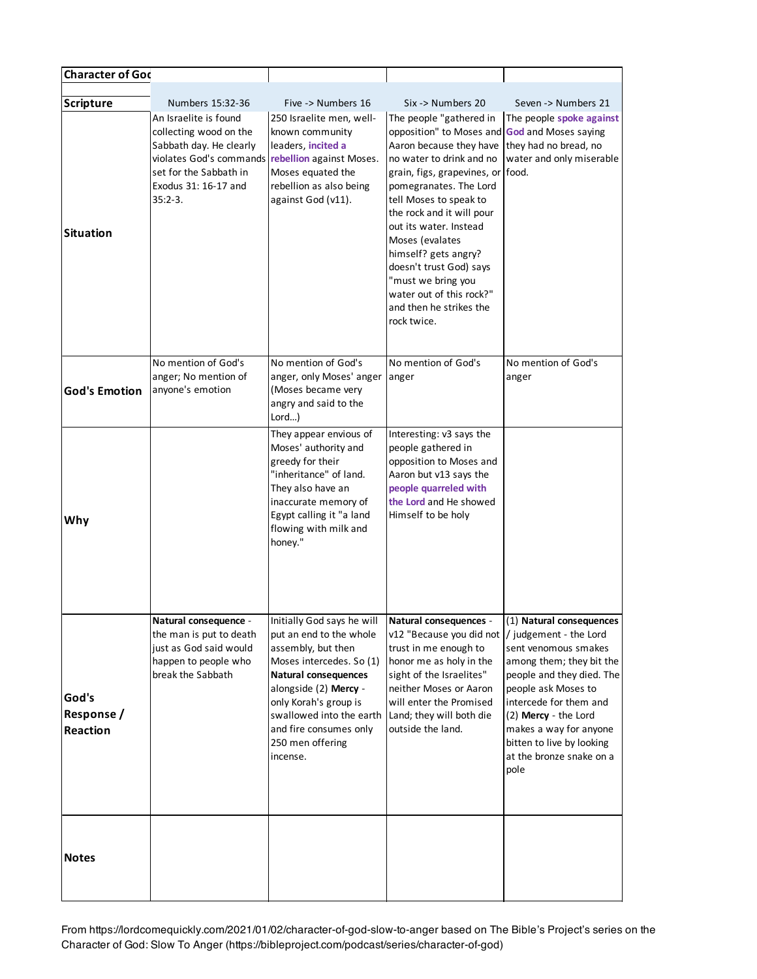| <b>Character of Goc</b>         |                                                                                                                                                                                                 |                                                                                                                                                                                                                                                                                |                                                                                                                                                                                                                                                                                                                                                                                                                                                   |                                                                                                                                                                                                                                                                               |
|---------------------------------|-------------------------------------------------------------------------------------------------------------------------------------------------------------------------------------------------|--------------------------------------------------------------------------------------------------------------------------------------------------------------------------------------------------------------------------------------------------------------------------------|---------------------------------------------------------------------------------------------------------------------------------------------------------------------------------------------------------------------------------------------------------------------------------------------------------------------------------------------------------------------------------------------------------------------------------------------------|-------------------------------------------------------------------------------------------------------------------------------------------------------------------------------------------------------------------------------------------------------------------------------|
| Scripture                       | Numbers 15:32-36                                                                                                                                                                                | Five -> Numbers 16                                                                                                                                                                                                                                                             | Six -> Numbers 20                                                                                                                                                                                                                                                                                                                                                                                                                                 | Seven -> Numbers 21                                                                                                                                                                                                                                                           |
| <b>Situation</b>                | An Israelite is found<br>collecting wood on the<br>Sabbath day. He clearly<br>violates God's commands rebellion against Moses.<br>set for the Sabbath in<br>Exodus 31: 16-17 and<br>$35:2 - 3.$ | 250 Israelite men, well-<br>known community<br>leaders, incited a<br>Moses equated the<br>rebellion as also being<br>against God (v11).                                                                                                                                        | The people "gathered in<br>opposition" to Moses and God and Moses saying<br>Aaron because they have<br>no water to drink and no<br>grain, figs, grapevines, or food.<br>pomegranates. The Lord<br>tell Moses to speak to<br>the rock and it will pour<br>out its water. Instead<br>Moses (evalates<br>himself? gets angry?<br>doesn't trust God) says<br>"must we bring you<br>water out of this rock?"<br>and then he strikes the<br>rock twice. | The people spoke against<br>they had no bread, no<br>water and only miserable                                                                                                                                                                                                 |
| <b>God's Emotion</b>            | No mention of God's<br>anger; No mention of<br>anyone's emotion                                                                                                                                 | No mention of God's<br>anger, only Moses' anger<br>(Moses became very<br>angry and said to the<br>$Lord$ )                                                                                                                                                                     | No mention of God's<br>anger                                                                                                                                                                                                                                                                                                                                                                                                                      | No mention of God's<br>anger                                                                                                                                                                                                                                                  |
| Why                             |                                                                                                                                                                                                 | They appear envious of<br>Moses' authority and<br>greedy for their<br>"inheritance" of land.<br>They also have an<br>inaccurate memory of<br>Egypt calling it "a land<br>flowing with milk and<br>honey."                                                                      | Interesting: v3 says the<br>people gathered in<br>opposition to Moses and<br>Aaron but v13 says the<br>people quarreled with<br>the Lord and He showed<br>Himself to be holy                                                                                                                                                                                                                                                                      |                                                                                                                                                                                                                                                                               |
| God's<br>Response /<br>Reaction | Natural consequence -<br>the man is put to death<br>just as God said would<br>happen to people who<br>break the Sabbath                                                                         | Initially God says he will<br>put an end to the whole<br>assembly, but then<br>Moses intercedes. So (1)<br><b>Natural consequences</b><br>alongside (2) Mercy -<br>only Korah's group is<br>swallowed into the earth<br>and fire consumes only<br>250 men offering<br>incense. | Natural consequences -<br>v12 "Because you did not  / judgement - the Lord<br>trust in me enough to<br>honor me as holy in the<br>sight of the Israelites"<br>neither Moses or Aaron<br>will enter the Promised<br>Land; they will both die<br>outside the land.                                                                                                                                                                                  | (1) Natural consequences<br>sent venomous smakes<br>among them; they bit the<br>people and they died. The<br>people ask Moses to<br>intercede for them and<br>(2) Mercy - the Lord<br>makes a way for anyone<br>bitten to live by looking<br>at the bronze snake on a<br>pole |
| <b>Notes</b>                    |                                                                                                                                                                                                 |                                                                                                                                                                                                                                                                                |                                                                                                                                                                                                                                                                                                                                                                                                                                                   |                                                                                                                                                                                                                                                                               |